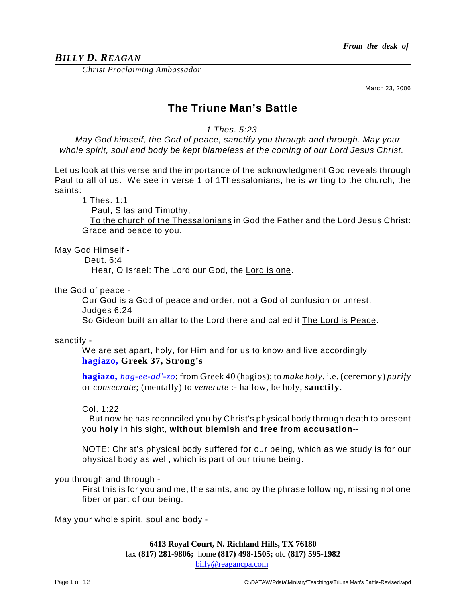# *BILLY D. REAGAN*

*Christ Proclaiming Ambassador*

March 23, 2006

# **The Triune Man's Battle**

*1 Thes. 5:23* 

*May God himself, the God of peace, sanctify you through and through. May your whole spirit, soul and body be kept blameless at the coming of our Lord Jesus Christ.* 

Let us look at this verse and the importance of the acknowledgment God reveals through Paul to all of us. We see in verse 1 of 1Thessalonians, he is writing to the church, the saints:

1 Thes. 1:1

Paul, Silas and Timothy,

To the church of the Thessalonians in God the Father and the Lord Jesus Christ: Grace and peace to you.

May God Himself -

Deut. 6:4

Hear, O Israel: The Lord our God, the Lord is one.

the God of peace -

Our God is a God of peace and order, not a God of confusion or unrest. Judges 6:24

So Gideon built an altar to the Lord there and called it The Lord is Peace.

sanctify -

We are set apart, holy, for Him and for us to know and live accordingly **hagiazo, Greek 37, Strong's**

**hagiazo,** *hag-ee-ad'-zo*; from Greek 40 (hagios); to *make holy*, i.e. (ceremony) *purify* or *consecrate*; (mentally) to *venerate* :- hallow, be holy, **sanctify**.

Col. 1:22

But now he has reconciled you by Christ's physical body through death to present you **holy** in his sight, **without blemish** and **free from accusation**--

NOTE: Christ's physical body suffered for our being, which as we study is for our physical body as well, which is part of our triune being.

you through and through -

First this is for you and me, the saints, and by the phrase following, missing not one fiber or part of our being.

May your whole spirit, soul and body -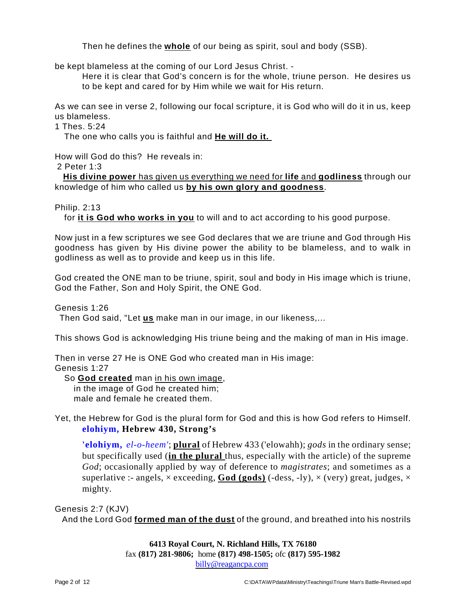Then he defines the **whole** of our being as spirit, soul and body (SSB).

be kept blameless at the coming of our Lord Jesus Christ. -

Here it is clear that God's concern is for the whole, triune person. He desires us to be kept and cared for by Him while we wait for His return.

As we can see in verse 2, following our focal scripture, it is God who will do it in us, keep us blameless.

1 Thes. 5:24

The one who calls you is faithful and **He will do it.** 

How will God do this? He reveals in:

2 Peter 1:3

**His divine power** has given us everything we need for **life** and **godliness** through our knowledge of him who called us **by his own glory and goodness**.

Philip. 2:13

for **it is God who works in you** to will and to act according to his good purpose.

Now just in a few scriptures we see God declares that we are triune and God through His goodness has given by His divine power the ability to be blameless, and to walk in godliness as well as to provide and keep us in this life.

God created the ONE man to be triune, spirit, soul and body in His image which is triune, God the Father, Son and Holy Spirit, the ONE God.

Genesis 1:26

Then God said, "Let **us** make man in our image, in our likeness,...

This shows God is acknowledging His triune being and the making of man in His image.

Then in verse 27 He is ONE God who created man in His image:

Genesis 1:27

So **God created** man in his own image,

in the image of God he created him; male and female he created them.

Yet, the Hebrew for God is the plural form for God and this is how God refers to Himself. **elohiym, Hebrew 430, Strong's**

**'elohiym,** *el-o-heem'*; **plural** of Hebrew 433 ('elowahh); *gods* in the ordinary sense; but specifically used (**in the plural** thus, especially with the article) of the supreme *God*; occasionally applied by way of deference to *magistrates*; and sometimes as a superlative :- angels,  $\times$  exceeding, **God (gods)** (-dess, -ly),  $\times$  (very) great, judges,  $\times$ mighty.

Genesis 2:7 (KJV)

And the Lord God **formed man of the dust** of the ground, and breathed into his nostrils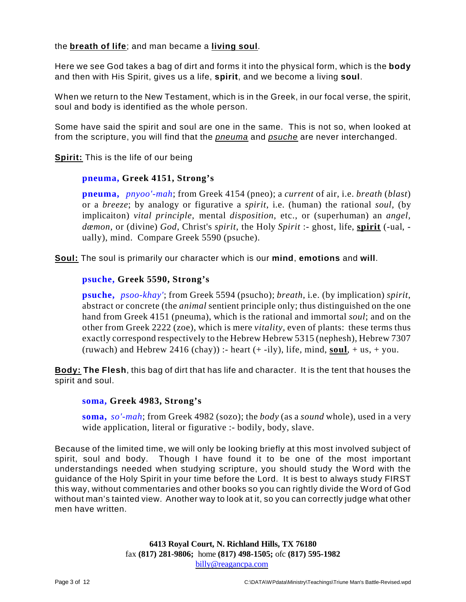the **breath of life**; and man became a **living soul**.

Here we see God takes a bag of dirt and forms it into the physical form, which is the **body** and then with His Spirit, gives us a life, **spirit**, and we become a living **soul**.

When we return to the New Testament, which is in the Greek, in our focal verse, the spirit, soul and body is identified as the whole person.

Some have said the spirit and soul are one in the same. This is not so, when looked at from the scripture, you will find that the *pneuma* and *psuche* are never interchanged.

**Spirit:** This is the life of our being

## **pneuma, Greek 4151, Strong's**

**pneuma,** *pnyoo'-mah*; from Greek 4154 (pneo); a *current* of air, i.e. *breath* (*blast*) or a *breeze*; by analogy or figurative a *spirit*, i.e. (human) the rational *soul*, (by implicaiton) *vital principle*, mental *disposition*, etc., or (superhuman) an *angel, dæmon*, or (divine) *God*, Christ's *spirit*, the Holy *Spirit* :- ghost, life, **spirit** (-ual, ually), mind. Compare Greek 5590 (psuche).

**Soul:** The soul is primarily our character which is our **mind**, **emotions** and **will**.

## **psuche, Greek 5590, Strong's**

**psuche,** *psoo-khay'*; from Greek 5594 (psucho); *breath*, i.e. (by implication) *spirit*, abstract or concrete (the *animal* sentient principle only; thus distinguished on the one hand from Greek 4151 (pneuma), which is the rational and immortal *soul*; and on the other from Greek 2222 (zoe), which is mere *vitality*, even of plants: these terms thus exactly correspond respectively to the Hebrew Hebrew 5315 (nephesh), Hebrew 7307 (ruwach) and Hebrew 2416 (chay)) :- heart  $(+ -i)y$ , life, mind, **soul**,  $+$  us,  $+$  you.

**Body: The Flesh**, this bag of dirt that has life and character. It is the tent that houses the spirit and soul.

#### **soma, Greek 4983, Strong's**

**soma,** *so'-mah*; from Greek 4982 (sozo); the *body* (as a *sound* whole), used in a very wide application, literal or figurative :- bodily, body, slave.

Because of the limited time, we will only be looking briefly at this most involved subject of spirit, soul and body. Though I have found it to be one of the most important understandings needed when studying scripture, you should study the Word with the guidance of the Holy Spirit in your time before the Lord. It is best to always study FIRST this way, without commentaries and other books so you can rightly divide the Word of God without man's tainted view. Another way to look at it, so you can correctly judge what other men have written.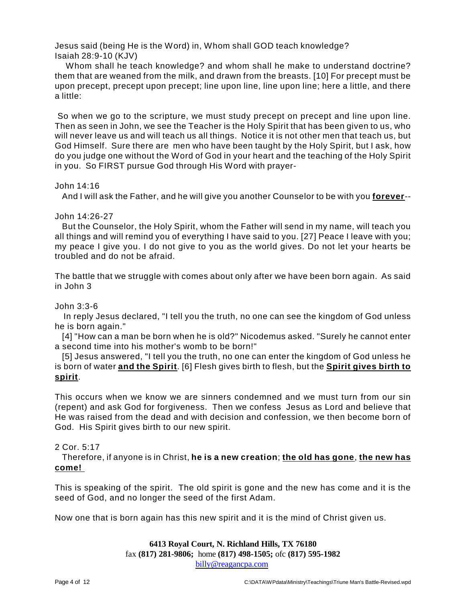Jesus said (being He is the Word) in, Whom shall GOD teach knowledge? Isaiah 28:9-10 (KJV)

Whom shall he teach knowledge? and whom shall he make to understand doctrine? them that are weaned from the milk, and drawn from the breasts. [10] For precept must be upon precept, precept upon precept; line upon line, line upon line; here a little, and there a little:

So when we go to the scripture, we must study precept on precept and line upon line. Then as seen in John, we see the Teacher is the Holy Spirit that has been given to us, who will never leave us and will teach us all things. Notice it is not other men that teach us, but God Himself. Sure there are men who have been taught by the Holy Spirit, but I ask, how do you judge one without the Word of God in your heart and the teaching of the Holy Spirit in you. So FIRST pursue God through His Word with prayer-

#### John 14:16

And I will ask the Father, and he will give you another Counselor to be with you **forever**--

#### John 14:26-27

But the Counselor, the Holy Spirit, whom the Father will send in my name, will teach you all things and will remind you of everything I have said to you. [27] Peace I leave with you; my peace I give you. I do not give to you as the world gives. Do not let your hearts be troubled and do not be afraid.

The battle that we struggle with comes about only after we have been born again. As said in John 3

#### John 3:3-6

In reply Jesus declared, "I tell you the truth, no one can see the kingdom of God unless he is born again."

[4] "How can a man be born when he is old?" Nicodemus asked. "Surely he cannot enter a second time into his mother's womb to be born!"

[5] Jesus answered, "I tell you the truth, no one can enter the kingdom of God unless he is born of water **and the Spirit**. [6] Flesh gives birth to flesh, but the **Spirit gives birth to spirit**.

This occurs when we know we are sinners condemned and we must turn from our sin (repent) and ask God for forgiveness. Then we confess Jesus as Lord and believe that He was raised from the dead and with decision and confession, we then become born of God. His Spirit gives birth to our new spirit.

#### 2 Cor. 5:17

Therefore, if anyone is in Christ, **he is a new creation**; **the old has gone**, **the new has come!** 

This is speaking of the spirit. The old spirit is gone and the new has come and it is the seed of God, and no longer the seed of the first Adam.

Now one that is born again has this new spirit and it is the mind of Christ given us.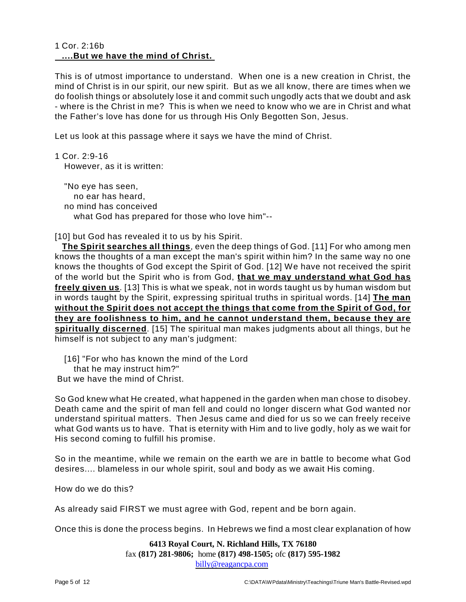#### 1 Cor. 2:16b **....But we have the mind of Christ.**

This is of utmost importance to understand. When one is a new creation in Christ, the mind of Christ is in our spirit, our new spirit. But as we all know, there are times when we do foolish things or absolutely lose it and commit such ungodly acts that we doubt and ask - where is the Christ in me? This is when we need to know who we are in Christ and what the Father's love has done for us through His Only Begotten Son, Jesus.

Let us look at this passage where it says we have the mind of Christ.

1 Cor. 2:9-16 However, as it is written:

"No eye has seen, no ear has heard, no mind has conceived what God has prepared for those who love him"--

[10] but God has revealed it to us by his Spirit.

**The Spirit searches all things**, even the deep things of God. [11] For who among men knows the thoughts of a man except the man's spirit within him? In the same way no one knows the thoughts of God except the Spirit of God. [12] We have not received the spirit of the world but the Spirit who is from God, **that we may understand what God has freely given us**. [13] This is what we speak, not in words taught us by human wisdom but in words taught by the Spirit, expressing spiritual truths in spiritual words. [14] **The man without the Spirit does not accept the things that come from the Spirit of God, for they are foolishness to him, and he cannot understand them, because they are spiritually discerned**. [15] The spiritual man makes judgments about all things, but he himself is not subject to any man's judgment:

[16] "For who has known the mind of the Lord

that he may instruct him?"

But we have the mind of Christ.

So God knew what He created, what happened in the garden when man chose to disobey. Death came and the spirit of man fell and could no longer discern what God wanted nor understand spiritual matters. Then Jesus came and died for us so we can freely receive what God wants us to have. That is eternity with Him and to live godly, holy as we wait for His second coming to fulfill his promise.

So in the meantime, while we remain on the earth we are in battle to become what God desires.... blameless in our whole spirit, soul and body as we await His coming.

How do we do this?

As already said FIRST we must agree with God, repent and be born again.

Once this is done the process begins. In Hebrews we find a most clear explanation of how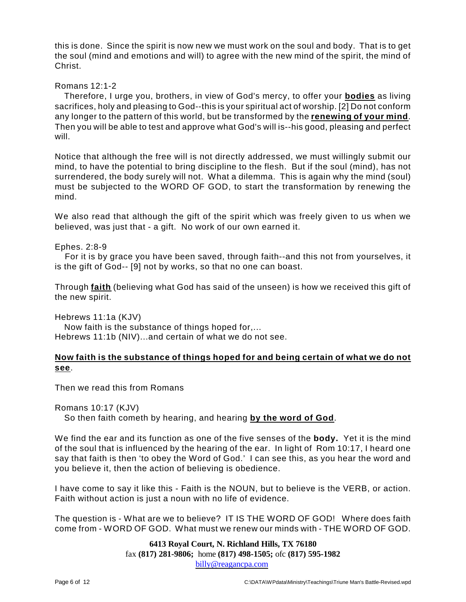this is done. Since the spirit is now new we must work on the soul and body. That is to get the soul (mind and emotions and will) to agree with the new mind of the spirit, the mind of Christ.

#### Romans 12:1-2

Therefore, I urge you, brothers, in view of God's mercy, to offer your **bodies** as living sacrifices, holy and pleasing to God--this is your spiritual act of worship. [2] Do not conform any longer to the pattern of this world, but be transformed by the **renewing of your mind**. Then you will be able to test and approve what God's will is--his good, pleasing and perfect will.

Notice that although the free will is not directly addressed, we must willingly submit our mind, to have the potential to bring discipline to the flesh. But if the soul (mind), has not surrendered, the body surely will not. What a dilemma. This is again why the mind (soul) must be subjected to the WORD OF GOD, to start the transformation by renewing the mind.

We also read that although the gift of the spirit which was freely given to us when we believed, was just that - a gift. No work of our own earned it.

#### Ephes. 2:8-9

For it is by grace you have been saved, through faith--and this not from yourselves, it is the gift of God-- [9] not by works, so that no one can boast.

Through **faith** (believing what God has said of the unseen) is how we received this gift of the new spirit.

Hebrews 11:1a (KJV)

Now faith is the substance of things hoped for,... Hebrews 11:1b (NIV)...and certain of what we do not see.

#### **Now faith is the substance of things hoped for and being certain of what we do not see**.

Then we read this from Romans

Romans 10:17 (KJV)

So then faith cometh by hearing, and hearing **by the word of God**.

We find the ear and its function as one of the five senses of the **body.** Yet it is the mind of the soul that is influenced by the hearing of the ear. In light of Rom 10:17, I heard one say that faith is then 'to obey the Word of God.' I can see this, as you hear the word and you believe it, then the action of believing is obedience.

I have come to say it like this - Faith is the NOUN, but to believe is the VERB, or action. Faith without action is just a noun with no life of evidence.

The question is - What are we to believe? IT IS THE WORD OF GOD! Where does faith come from - WORD OF GOD. What must we renew our minds with - THE WORD OF GOD.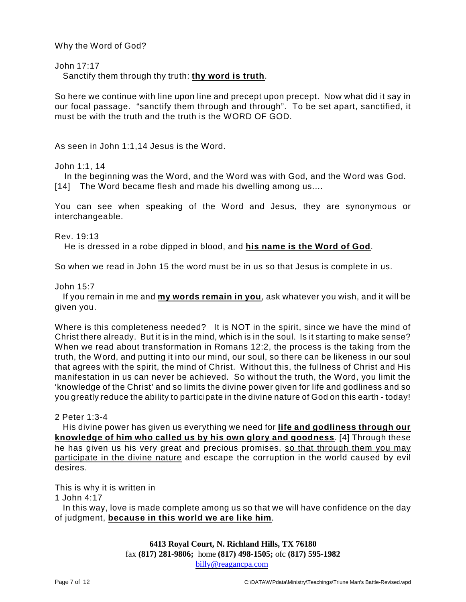Why the Word of God?

John 17:17

Sanctify them through thy truth: **thy word is truth**.

So here we continue with line upon line and precept upon precept. Now what did it say in our focal passage. "sanctify them through and through". To be set apart, sanctified, it must be with the truth and the truth is the WORD OF GOD.

As seen in John 1:1,14 Jesus is the Word.

John 1:1, 14

In the beginning was the Word, and the Word was with God, and the Word was God. [14] The Word became flesh and made his dwelling among us....

You can see when speaking of the Word and Jesus, they are synonymous or interchangeable.

Rev. 19:13

He is dressed in a robe dipped in blood, and **his name is the Word of God**.

So when we read in John 15 the word must be in us so that Jesus is complete in us.

John 15:7

If you remain in me and **my words remain in you**, ask whatever you wish, and it will be given you.

Where is this completeness needed? It is NOT in the spirit, since we have the mind of Christ there already. But it is in the mind, which is in the soul. Is it starting to make sense? When we read about transformation in Romans 12:2, the process is the taking from the truth, the Word, and putting it into our mind, our soul, so there can be likeness in our soul that agrees with the spirit, the mind of Christ. Without this, the fullness of Christ and His manifestation in us can never be achieved. So without the truth, the Word, you limit the 'knowledge of the Christ' and so limits the divine power given for life and godliness and so you greatly reduce the ability to participate in the divine nature of God on this earth - today!

2 Peter 1:3-4

His divine power has given us everything we need for **life and godliness through our knowledge of him who called us by his own glory and goodness**. [4] Through these he has given us his very great and precious promises, so that through them you may participate in the divine nature and escape the corruption in the world caused by evil desires.

This is why it is written in

1 John 4:17

In this way, love is made complete among us so that we will have confidence on the day of judgment, **because in this world we are like him**.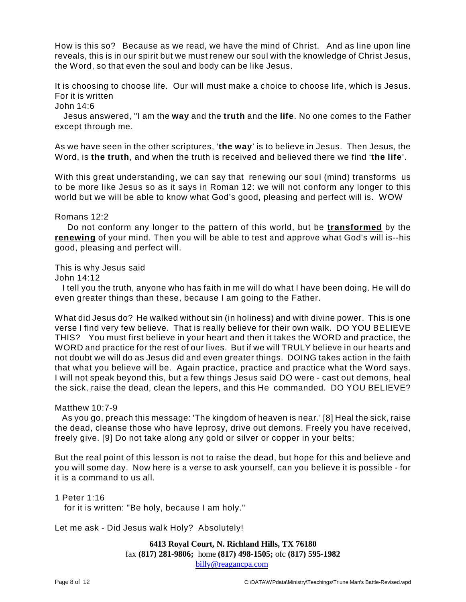How is this so? Because as we read, we have the mind of Christ. And as line upon line reveals, this is in our spirit but we must renew our soul with the knowledge of Christ Jesus, the Word, so that even the soul and body can be like Jesus.

It is choosing to choose life. Our will must make a choice to choose life, which is Jesus. For it is written

John 14:6

Jesus answered, "I am the **way** and the **truth** and the **life**. No one comes to the Father except through me.

As we have seen in the other scriptures, '**the way**' is to believe in Jesus. Then Jesus, the Word, is **the truth**, and when the truth is received and believed there we find '**the life**'.

With this great understanding, we can say that renewing our soul (mind) transforms us to be more like Jesus so as it says in Roman 12: we will not conform any longer to this world but we will be able to know what God's good, pleasing and perfect will is. WOW

#### Romans 12:2

Do not conform any longer to the pattern of this world, but be **transformed** by the **renewing** of your mind. Then you will be able to test and approve what God's will is--his good, pleasing and perfect will.

This is why Jesus said

John 14:12

I tell you the truth, anyone who has faith in me will do what I have been doing. He will do even greater things than these, because I am going to the Father.

What did Jesus do? He walked without sin (in holiness) and with divine power. This is one verse I find very few believe. That is really believe for their own walk. DO YOU BELIEVE THIS? You must first believe in your heart and then it takes the WORD and practice, the WORD and practice for the rest of our lives. But if we will TRULY believe in our hearts and not doubt we will do as Jesus did and even greater things. DOING takes action in the faith that what you believe will be. Again practice, practice and practice what the Word says. I will not speak beyond this, but a few things Jesus said DO were - cast out demons, heal the sick, raise the dead, clean the lepers, and this He commanded. DO YOU BELIEVE?

#### Matthew 10:7-9

As you go, preach this message: 'The kingdom of heaven is near.' [8] Heal the sick, raise the dead, cleanse those who have leprosy, drive out demons. Freely you have received, freely give. [9] Do not take along any gold or silver or copper in your belts;

But the real point of this lesson is not to raise the dead, but hope for this and believe and you will some day. Now here is a verse to ask yourself, can you believe it is possible - for it is a command to us all.

1 Peter 1:16

for it is written: "Be holy, because I am holy."

Let me ask - Did Jesus walk Holy? Absolutely!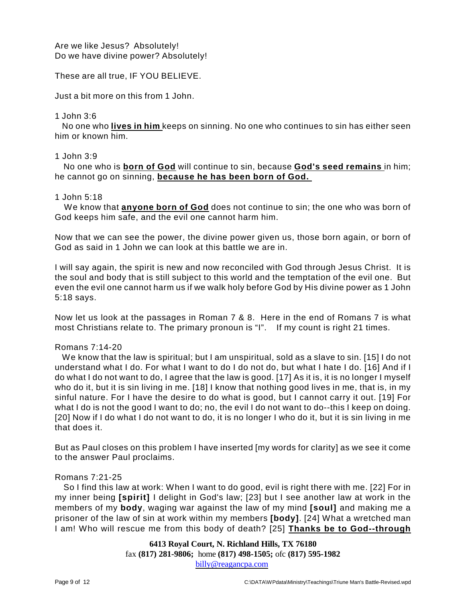#### Are we like Jesus? Absolutely! Do we have divine power? Absolutely!

These are all true, IF YOU BELIEVE.

Just a bit more on this from 1 John.

#### 1 John 3:6

No one who **lives in him** keeps on sinning. No one who continues to sin has either seen him or known him.

#### 1 John 3:9

No one who is **born of God** will continue to sin, because **God's seed remains** in him; he cannot go on sinning, **because he has been born of God.** 

#### 1 John 5:18

We know that **anyone born of God** does not continue to sin; the one who was born of God keeps him safe, and the evil one cannot harm him.

Now that we can see the power, the divine power given us, those born again, or born of God as said in 1 John we can look at this battle we are in.

I will say again, the spirit is new and now reconciled with God through Jesus Christ. It is the soul and body that is still subject to this world and the temptation of the evil one. But even the evil one cannot harm us if we walk holy before God by His divine power as 1 John 5:18 says.

Now let us look at the passages in Roman 7 & 8. Here in the end of Romans 7 is what most Christians relate to. The primary pronoun is "I". If my count is right 21 times.

#### Romans 7:14-20

We know that the law is spiritual; but I am unspiritual, sold as a slave to sin. [15] I do not understand what I do. For what I want to do I do not do, but what I hate I do. [16] And if I do what I do not want to do, I agree that the law is good. [17] As it is, it is no longer I myself who do it, but it is sin living in me. [18] I know that nothing good lives in me, that is, in my sinful nature. For I have the desire to do what is good, but I cannot carry it out. [19] For what I do is not the good I want to do; no, the evil I do not want to do--this I keep on doing. [20] Now if I do what I do not want to do, it is no longer I who do it, but it is sin living in me that does it.

But as Paul closes on this problem I have inserted [my words for clarity] as we see it come to the answer Paul proclaims.

#### Romans 7:21-25

So I find this law at work: When I want to do good, evil is right there with me. [22] For in my inner being **[spirit]** I delight in God's law; [23] but I see another law at work in the members of my **body**, waging war against the law of my mind **[soul]** and making me a prisoner of the law of sin at work within my members **[body]**. [24] What a wretched man I am! Who will rescue me from this body of death? [25] **Thanks be to God--through**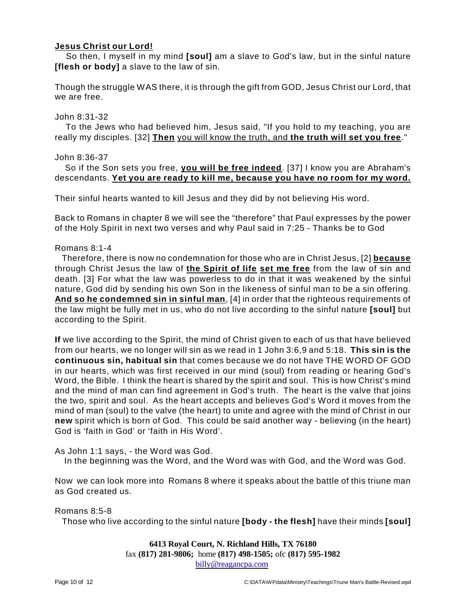# **Jesus Christ our Lord!**

So then, I myself in my mind **[soul]** am a slave to God's law, but in the sinful nature **[flesh or body]** a slave to the law of sin.

Though the struggle WAS there, it is through the gift from GOD, Jesus Christ our Lord, that we are free.

#### John 8:31-32

To the Jews who had believed him, Jesus said, "If you hold to my teaching, you are really my disciples. [32] **Then** you will know the truth, and **the truth will set you free**."

#### John 8:36-37

So if the Son sets you free, **you will be free indeed**. [37] I know you are Abraham's descendants. **Yet you are ready to kill me, because you have no room for my word.**

Their sinful hearts wanted to kill Jesus and they did by not believing His word.

Back to Romans in chapter 8 we will see the "therefore" that Paul expresses by the power of the Holy Spirit in next two verses and why Paul said in 7:25 - Thanks be to God

#### Romans 8:1-4

Therefore, there is now no condemnation for those who are in Christ Jesus, [2] **because** through Christ Jesus the law of **the Spirit of life set me free** from the law of sin and death. [3] For what the law was powerless to do in that it was weakened by the sinful nature, God did by sending his own Son in the likeness of sinful man to be a sin offering. **And so he condemned sin in sinful man**, [4] in order that the righteous requirements of the law might be fully met in us, who do not live according to the sinful nature **[soul]** but according to the Spirit.

**If** we live according to the Spirit, the mind of Christ given to each of us that have believed from our hearts, we no longer will sin as we read in 1 John 3:6,9 and 5:18. **This sin is the continuous sin, habitual sin** that comes because we do not have THE WORD OF GOD in our hearts, which was first received in our mind (soul) from reading or hearing God's Word, the Bible. I think the heart is shared by the spirit and soul. This is how Christ's mind and the mind of man can find agreement in God's truth. The heart is the valve that joins the two, spirit and soul. As the heart accepts and believes God's Word it moves from the mind of man (soul) to the valve (the heart) to unite and agree with the mind of Christ in our **new** spirit which is born of God. This could be said another way - believing (in the heart) God is 'faith in God' or 'faith in His Word'.

As John 1:1 says, - the Word was God.

In the beginning was the Word, and the Word was with God, and the Word was God.

Now we can look more into Romans 8 where it speaks about the battle of this triune man as God created us.

Romans 8:5-8

Those who live according to the sinful nature **[body - the flesh]** have their minds **[soul]**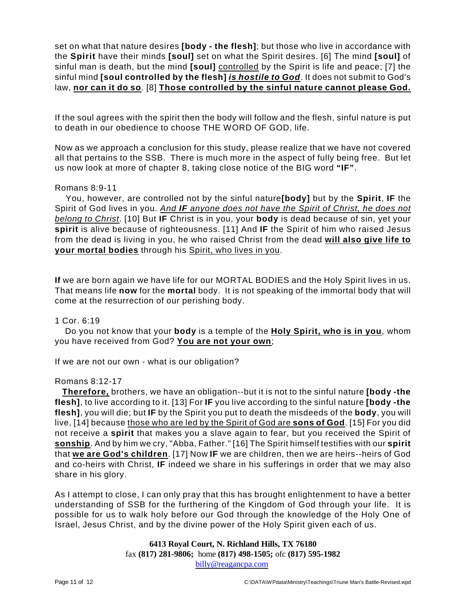set on what that nature desires **[body - the flesh]**; but those who live in accordance with the **Spirit** have their minds **[soul]** set on what the Spirit desires. [6] The mind **[soul]** of sinful man is death, but the mind **[soul]** controlled by the Spirit is life and peace; [7] the sinful mind **[soul controlled by the flesh]** *is hostile to God*. It does not submit to God's law, **nor can it do so**. [8] **Those controlled by the sinful nature cannot please God.**

If the soul agrees with the spirit then the body will follow and the flesh, sinful nature is put to death in our obedience to choose THE WORD OF GOD, life.

Now as we approach a conclusion for this study, please realize that we have not covered all that pertains to the SSB. There is much more in the aspect of fully being free. But let us now look at more of chapter 8, taking close notice of the BIG word **"IF"**.

#### Romans 8:9-11

You, however, are controlled not by the sinful nature**[body]** but by the **Spirit**, **IF** the Spirit of God lives in you. *And IF anyone does not have the Spirit of Christ, he does not belong to Christ*. [10] But **IF** Christ is in you, your **body** is dead because of sin, yet your **spirit** is alive because of righteousness. [11] And **IF** the Spirit of him who raised Jesus from the dead is living in you, he who raised Christ from the dead **will also give life to your mortal bodies** through his Spirit, who lives in you.

**If** we are born again we have life for our MORTAL BODIES and the Holy Spirit lives in us. That means life **now** for the **mortal** body. It is not speaking of the immortal body that will come at the resurrection of our perishing body.

#### 1 Cor. 6:19

Do you not know that your **body** is a temple of the **Holy Spirit, who is in you**, whom you have received from God? **You are not your own**;

If we are not our own - what is our obligation?

#### Romans 8:12-17

**Therefore,** brothers, we have an obligation--but it is not to the sinful nature **[body -the flesh]**, to live according to it. [13] For **IF** you live according to the sinful nature **[body -the flesh]**, you will die; but **IF** by the Spirit you put to death the misdeeds of the **body**, you will live, [14] because those who are led by the Spirit of God are **sons of God**. [15] For you did not receive a **spirit** that makes you a slave again to fear, but you received the Spirit of **sonship**. And by him we cry, "Abba, Father." [16] The Spirit himself testifies with our **spirit** that **we are God's children**. [17] Now **IF** we are children, then we are heirs--heirs of God and co-heirs with Christ, **IF** indeed we share in his sufferings in order that we may also share in his glory.

As I attempt to close, I can only pray that this has brought enlightenment to have a better understanding of SSB for the furthering of the Kingdom of God through your life. It is possible for us to walk holy before our God through the knowledge of the Holy One of Israel, Jesus Christ, and by the divine power of the Holy Spirit given each of us.